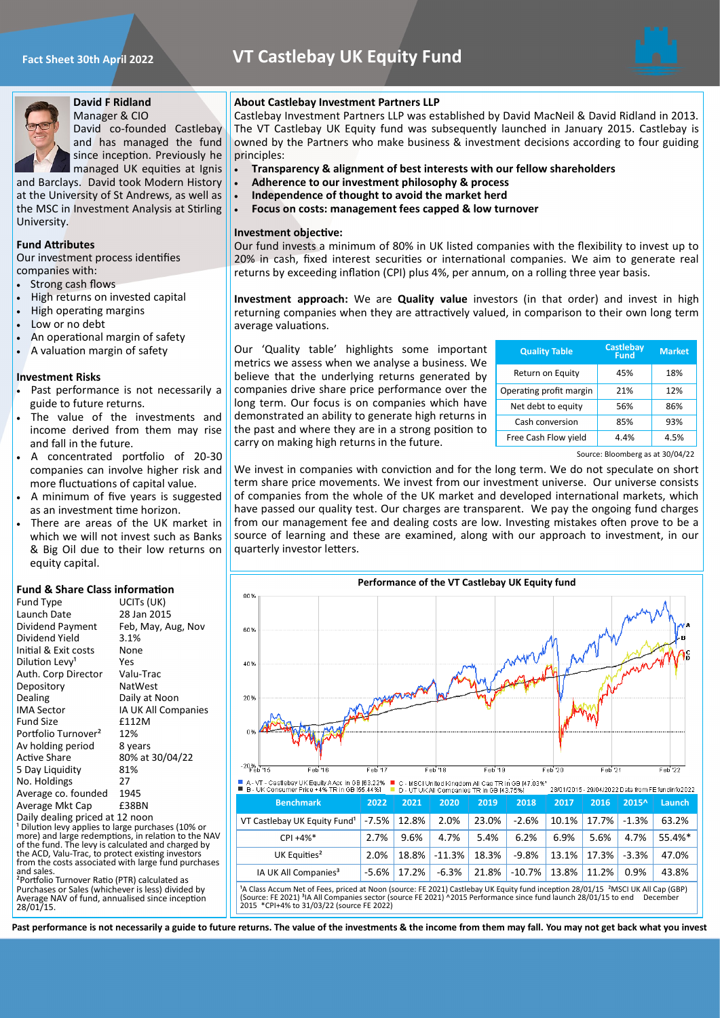



### **David F Ridland** Manager & CIO

David co-founded Castlebay and has managed the fund since inception. Previously he managed UK equities at Ignis

and Barclays. David took Modern History at the University of St Andrews, as well as the MSC in Investment Analysis at Stirling University.

## **Fund Attributes**

Our investment process identifies companies with:

- Strong cash flows
- High returns on invested capital
- High operating margins
- Low or no debt
- An operational margin of safety
- A valuation margin of safety

## **Investment Risks**

- Past performance is not necessarily a guide to future returns.
- The value of the investments and income derived from them may rise and fall in the future.
- A concentrated portfolio of 20-30 companies can involve higher risk and more fluctuations of capital value.
- A minimum of five years is suggested as an investment time horizon.
- There are areas of the UK market in which we will not invest such as Banks & Big Oil due to their low returns on equity capital.

## **Fund & Share Class information**

| Fund Type                       | UCITs (UK)          |  |  |
|---------------------------------|---------------------|--|--|
| Launch Date                     | 28 Jan 2015         |  |  |
| Dividend Payment                | Feb, May, Aug, Nov  |  |  |
| Dividend Yield                  | 3.1%                |  |  |
| Initial & Exit costs            | None                |  |  |
| Dilution Levy <sup>1</sup>      | Yes                 |  |  |
| Auth. Corp Director             | Valu-Trac           |  |  |
| Depository                      | NatWest             |  |  |
| Dealing                         | Daily at Noon       |  |  |
| IMA Sector                      | IA UK All Companies |  |  |
| Fund Size                       | <b>f112M</b>        |  |  |
| Portfolio Turnover <sup>2</sup> | 12%                 |  |  |
| Av holding period               | 8 years             |  |  |
| <b>Active Share</b>             | 80% at 30/04/22     |  |  |
| 5 Day Liquidity                 | 81%                 |  |  |
| No. Holdings                    | 27                  |  |  |
| Average co. founded             | 1945                |  |  |
| Average Mkt Cap                 | £38BN               |  |  |
| Daily dealing priced at 12 noon |                     |  |  |

Daily dealing priced at 12 noon ¹ Dilution levy applies to large purchases (10% or more) and large redemptions, in relation to the NAV of the fund. The levy is calculated and charged by the ACD, Valu-Trac, to protect existing investors from the costs associated with large fund purchases and sales. ²Portfolio Turnover Ratio (PTR) calculated as

Purchases or Sales (whichever is less) divided by Average NAV of fund, annualised since inception 28/01/15.

# **About Castlebay Investment Partners LLP**

Castlebay Investment Partners LLP was established by David MacNeil & David Ridland in 2013. The VT Castlebay UK Equity fund was subsequently launched in January 2015. Castlebay is owned by the Partners who make business & investment decisions according to four guiding principles:

- **Transparency & alignment of best interests with our fellow shareholders**
- **Adherence to our investment philosophy & process**
- **Independence of thought to avoid the market herd**
- **Focus on costs: management fees capped & low turnover**

## **Investment objective:**

Our fund invests a minimum of 80% in UK listed companies with the flexibility to invest up to 20% in cash, fixed interest securities or international companies. We aim to generate real returns by exceeding inflation (CPI) plus 4%, per annum, on a rolling three year basis.

**Investment approach:** We are **Quality value** investors (in that order) and invest in high returning companies when they are attractively valued, in comparison to their own long term average valuations.

Our 'Quality table' highlights some important metrics we assess when we analyse a business. We believe that the underlying returns generated by companies drive share price performance over the long term. Our focus is on companies which have demonstrated an ability to generate high returns in the past and where they are in a strong position to carry on making high returns in the future.

| <b>Quality Table</b>    | <b>Castlebay</b><br><b>Fund</b> | <b>Market</b> |
|-------------------------|---------------------------------|---------------|
| Return on Equity        | 45%                             | 18%           |
| Operating profit margin | 21%                             | 12%           |
| Net debt to equity      | 56%                             | 86%           |
| Cash conversion         | 85%                             | 93%           |
| Free Cash Flow yield    | 4.4%                            | 4.5%          |

Source: Bloomberg as at 30/04/22

We invest in companies with conviction and for the long term. We do not speculate on short term share price movements. We invest from our investment universe. Our universe consists of companies from the whole of the UK market and developed international markets, which have passed our quality test. Our charges are transparent. We pay the ongoing fund charges from our management fee and dealing costs are low. Investing mistakes often prove to be a source of learning and these are examined, along with our approach to investment, in our quarterly investor letters.



**Past performance is not necessarily a guide to future returns. The value of the investments & the income from them may fall. You may not get back what you invest**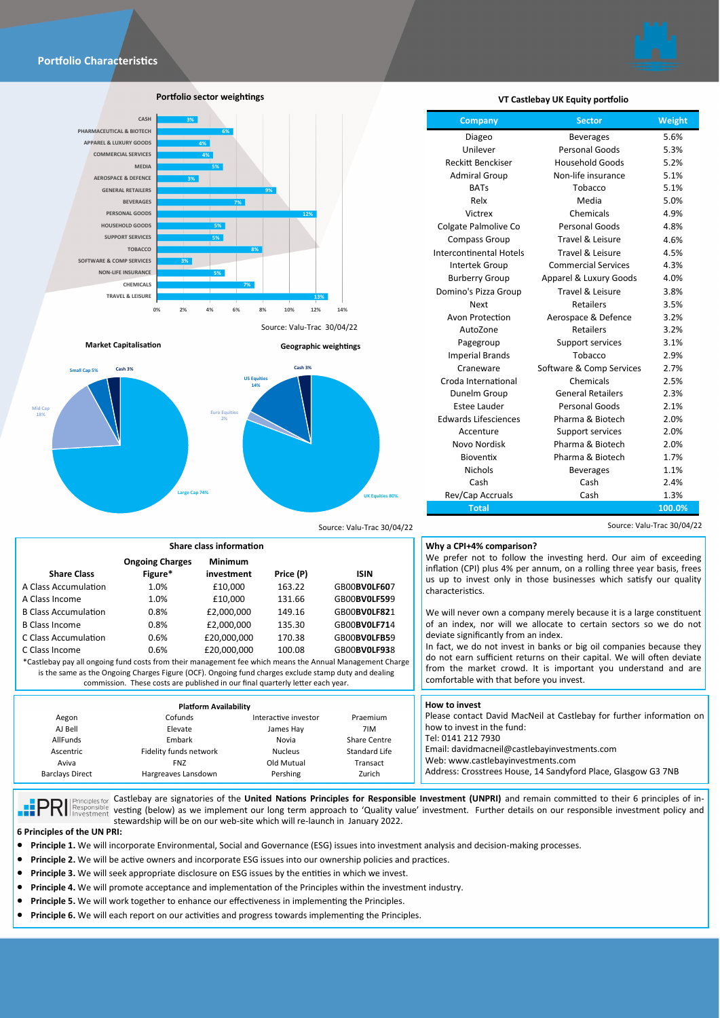



**Portfolio sector weightings**



**Market Capitalisation Geographic weightings**

**Euro Equities 2%**

Source: Valu-Trac 30/04/22



**Ongoing Charges Figure\***

**US Equities 14% Cash 3%**

**investment Price (P) ISIN**

Source: Valu-Trac 30/04/22 Source: Valu-Trac 30/04/22

| VT Castlebay UK Equity portfolio |  |  |  |
|----------------------------------|--|--|--|
|----------------------------------|--|--|--|

| Company                        | <b>Sector</b>              | Weight |
|--------------------------------|----------------------------|--------|
| Diageo                         | <b>Beverages</b>           | 5.6%   |
| Unilever                       | Personal Goods             | 5.3%   |
| <b>Reckitt Benckiser</b>       | <b>Household Goods</b>     | 5.2%   |
| <b>Admiral Group</b>           | Non-life insurance         | 5.1%   |
| <b>BATs</b>                    | Tobacco                    | 5.1%   |
| Relx                           | Media                      | 5.0%   |
| Victrex                        | Chemicals                  | 4.9%   |
| Colgate Palmolive Co           | Personal Goods             | 4.8%   |
| <b>Compass Group</b>           | Travel & Leisure           | 4.6%   |
| <b>Intercontinental Hotels</b> | Travel & Leisure           | 4.5%   |
| Intertek Group                 | <b>Commercial Services</b> | 4.3%   |
| <b>Burberry Group</b>          | Apparel & Luxury Goods     | 4.0%   |
| Domino's Pizza Group           | Travel & Leisure           | 3.8%   |
| <b>Next</b>                    | <b>Retailers</b>           | 3.5%   |
| Avon Protection                | Aerospace & Defence        | 3.2%   |
| AutoZone                       | <b>Retailers</b>           | 3.2%   |
| Pagegroup                      | Support services           | 3.1%   |
| <b>Imperial Brands</b>         | Tobacco                    | 2.9%   |
| Craneware                      | Software & Comp Services   | 2.7%   |
| Croda International            | Chemicals                  | 2.5%   |
| Dunelm Group                   | <b>General Retailers</b>   | 2.3%   |
| Estee Lauder                   | Personal Goods             | 2.1%   |
| <b>Edwards Lifesciences</b>    | Pharma & Biotech           | 2.0%   |
| Accenture                      | Support services           | 2.0%   |
| Novo Nordisk                   | Pharma & Biotech           | 2.0%   |
| Bioventix                      | Pharma & Biotech           | 1.7%   |
| <b>Nichols</b>                 | <b>Beverages</b>           | 1.1%   |
| Cash                           | Cash                       | 2.4%   |
| Rev/Cap Accruals               | Cash                       | 1.3%   |

**UK Equities 80%**

#### **Why a CPI+4% comparison?**

We prefer not to follow the investing herd. Our aim of exceeding inflation (CPI) plus 4% per annum, on a rolling three year basis, frees us up to invest only in those businesses which satisfy our quality characteristics.

**Total 100.0%**

We will never own a company merely because it is a large constituent of an index, nor will we allocate to certain sectors so we do not deviate significantly from an index.

In fact, we do not invest in banks or big oil companies because they do not earn sufficient returns on their capital. We will often deviate from the market crowd. It is important you understand and are comfortable with that before you invest.

| Cofunds<br>Aegon<br>AJ Bell<br>Elevate<br>AllFunds<br>Embark<br>Ascentric<br>Fidelity funds network<br>Aviva<br><b>FNZ</b> | <b>Platform Availability</b><br>Interactive investor<br>James Hay<br>Novia<br><b>Nucleus</b><br>Old Mutual | Praemium<br>7IM<br>Share Centre<br>Standard Life<br><b>Fransact</b> | <b>How to invest</b><br>Please contact David MacNeil at Castlebay for further information on<br>how to invest in the fund:<br>Tel: 0141 212 7930<br>Email: davidmacneil@castlebayinvestments.com<br>Web: www.castlebavinvestments.com<br>Address: Crosstrees House, 14 Sandyford Place, Glasgow G3 7NB |
|----------------------------------------------------------------------------------------------------------------------------|------------------------------------------------------------------------------------------------------------|---------------------------------------------------------------------|--------------------------------------------------------------------------------------------------------------------------------------------------------------------------------------------------------------------------------------------------------------------------------------------------------|
| <b>Barclays Direct</b><br>Hargreaves Lansdown                                                                              | Pershing                                                                                                   | Zurich                                                              |                                                                                                                                                                                                                                                                                                        |

nciples for Castlebay are signatories of the **United Nations Principles for Responsible Investment (UNPRI)** and remain committed to their 6 principles of in-

**versus and the second of the second of the second of the contract of the contract of the second of the contract investment. Further details on our responsible investment policy and the second of the second of the second o** stewardship will be on our web-site which will re-launch in January 2022. **6 Principles of the UN PRI:** 

**Share Class**

**Mid Cap 18%**

- **Principle 1.** We will incorporate Environmental, Social and Governance (ESG) issues into investment analysis and decision-making processes.
- **Principle 2.** We will be active owners and incorporate ESG issues into our ownership policies and practices.
- **Principle 3.** We will seek appropriate disclosure on ESG issues by the entities in which we invest.

**Share class information**

**Large Cap 74%**

A Class Accumulation 1.0% £10,000 163.22 GB00**BV0LF60**7 A Class Income 1.0% £10,000 131.66 GB00**BV0LF59**9 B Class Accumulation 0.8% £2,000,000 149.16 GB00**BV0LF82**1 B Class Income 0.8% £2,000,000 135.30 GB00**BV0LF71**4 C Class Accumulation 0.6% £20,000,000 170.38 GB00**BV0LFB5**9 C Class Income 0.6% £20,000,000 100.08 GB00**BV0LF93**8 \*Castlebay pay all ongoing fund costs from their management fee which means the Annual Management Charge is the same as the Ongoing Charges Figure (OCF). Ongoing fund charges exclude stamp duty and dealing commission. These costs are published in our final quarterly letter each year.

**Minimum** 

- **Principle 4.** We will promote acceptance and implementation of the Principles within the investment industry.
- **Principle 5.** We will work together to enhance our effectiveness in implementing the Principles.
- **Principle 6.** We will each report on our activities and progress towards implementing the Principles.